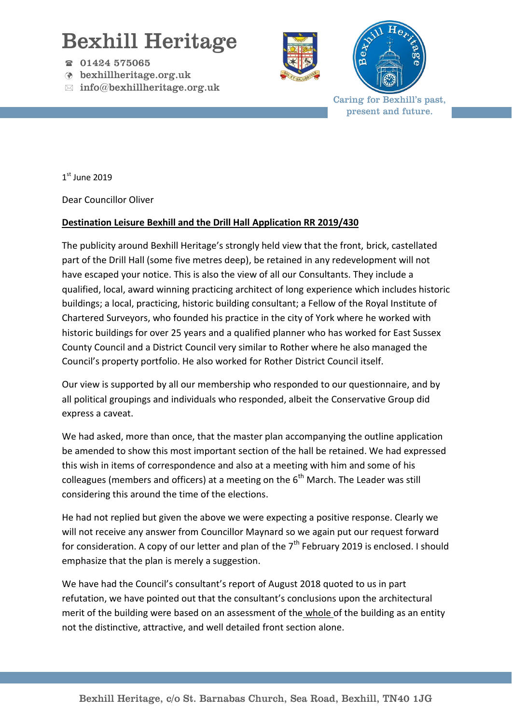## Bexhill Heritage

- 01424 575065
- bexhillheritage.org.uk
- $\boxtimes$  info@bexhillheritage.org.uk





Caring for Bexhill's past, present and future.

 $1<sup>st</sup>$  June 2019

Dear Councillor Oliver

## **Destination Leisure Bexhill and the Drill Hall Application RR 2019/430**

The publicity around Bexhill Heritage's strongly held view that the front, brick, castellated part of the Drill Hall (some five metres deep), be retained in any redevelopment will not have escaped your notice. This is also the view of all our Consultants. They include a qualified, local, award winning practicing architect of long experience which includes historic buildings; a local, practicing, historic building consultant; a Fellow of the Royal Institute of Chartered Surveyors, who founded his practice in the city of York where he worked with historic buildings for over 25 years and a qualified planner who has worked for East Sussex County Council and a District Council very similar to Rother where he also managed the Council's property portfolio. He also worked for Rother District Council itself.

Our view is supported by all our membership who responded to our questionnaire, and by all political groupings and individuals who responded, albeit the Conservative Group did express a caveat.

We had asked, more than once, that the master plan accompanying the outline application be amended to show this most important section of the hall be retained. We had expressed this wish in items of correspondence and also at a meeting with him and some of his colleagues (members and officers) at a meeting on the  $6<sup>th</sup>$  March. The Leader was still considering this around the time of the elections.

He had not replied but given the above we were expecting a positive response. Clearly we will not receive any answer from Councillor Maynard so we again put our request forward for consideration. A copy of our letter and plan of the  $7<sup>th</sup>$  February 2019 is enclosed. I should emphasize that the plan is merely a suggestion.

We have had the Council's consultant's report of August 2018 quoted to us in part refutation, we have pointed out that the consultant's conclusions upon the architectural merit of the building were based on an assessment of the whole of the building as an entity not the distinctive, attractive, and well detailed front section alone.